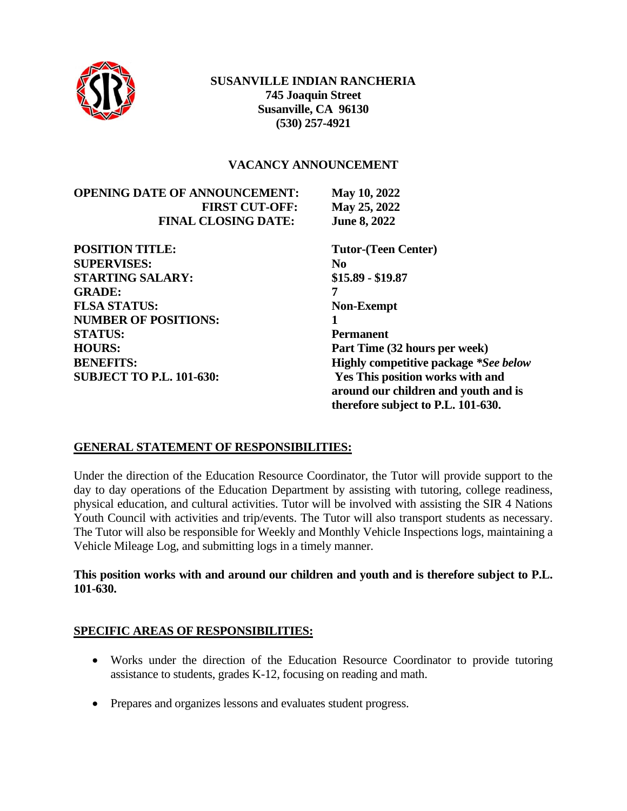

#### **VACANCY ANNOUNCEMENT**

| <b>OPENING DATE OF ANNOUNCEMENT:</b> | <b>May 10, 2022</b> |
|--------------------------------------|---------------------|
| <b>FIRST CUT-OFF:</b>                | May 25, 2022        |
| <b>FINAL CLOSING DATE:</b>           | <b>June 8, 2022</b> |

**POSITION TITLE: Tutor-(Teen Center) SUPERVISES: No STARTING SALARY: \$15.89 - \$19.87 GRADE: 7 FLSA STATUS: Non-Exempt NUMBER OF POSITIONS: 1 STATUS: Permanent**

**Fune 8, 2022 HOURS: Part Time (32 hours per week) BENEFITS: Highly competitive package** *\*See below* **SUBJECT TO P.L. 101-630: Yes This position works with and around our children and youth and is therefore subject to P.L. 101-630.**

### **GENERAL STATEMENT OF RESPONSIBILITIES:**

Under the direction of the Education Resource Coordinator, the Tutor will provide support to the day to day operations of the Education Department by assisting with tutoring, college readiness, physical education, and cultural activities. Tutor will be involved with assisting the SIR 4 Nations Youth Council with activities and trip/events. The Tutor will also transport students as necessary. The Tutor will also be responsible for Weekly and Monthly Vehicle Inspections logs, maintaining a Vehicle Mileage Log, and submitting logs in a timely manner.

### **This position works with and around our children and youth and is therefore subject to P.L. 101-630.**

### **SPECIFIC AREAS OF RESPONSIBILITIES:**

- Works under the direction of the Education Resource Coordinator to provide tutoring assistance to students, grades K-12, focusing on reading and math.
- Prepares and organizes lessons and evaluates student progress.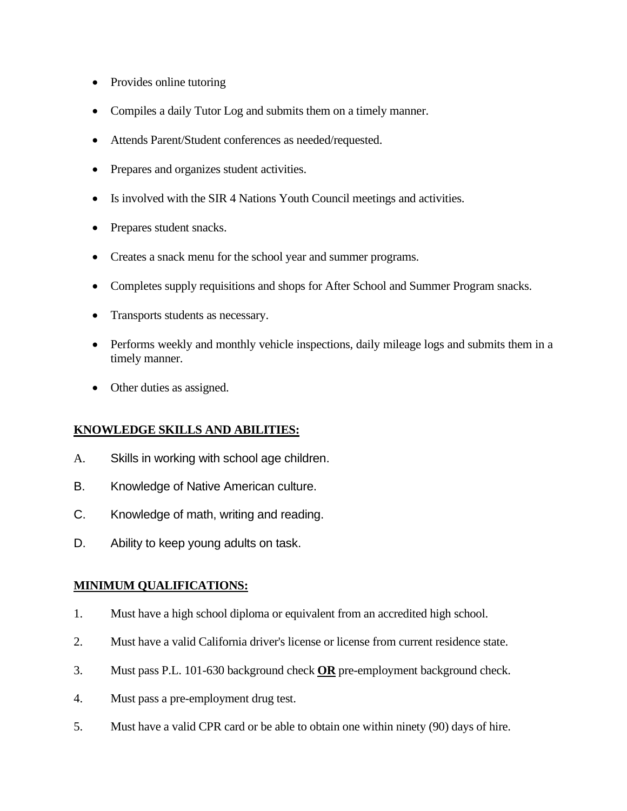- Provides online tutoring
- Compiles a daily Tutor Log and submits them on a timely manner.
- Attends Parent/Student conferences as needed/requested.
- Prepares and organizes student activities.
- Is involved with the SIR 4 Nations Youth Council meetings and activities.
- Prepares student snacks.
- Creates a snack menu for the school year and summer programs.
- Completes supply requisitions and shops for After School and Summer Program snacks.
- Transports students as necessary.
- Performs weekly and monthly vehicle inspections, daily mileage logs and submits them in a timely manner.
- Other duties as assigned.

### **KNOWLEDGE SKILLS AND ABILITIES:**

- A. Skills in working with school age children.
- B. Knowledge of Native American culture.
- C. Knowledge of math, writing and reading.
- D. Ability to keep young adults on task.

### **MINIMUM QUALIFICATIONS:**

- 1. Must have a high school diploma or equivalent from an accredited high school.
- 2. Must have a valid California driver's license or license from current residence state.
- 3. Must pass P.L. 101-630 background check **OR** pre-employment background check.
- 4. Must pass a pre-employment drug test.
- 5. Must have a valid CPR card or be able to obtain one within ninety (90) days of hire.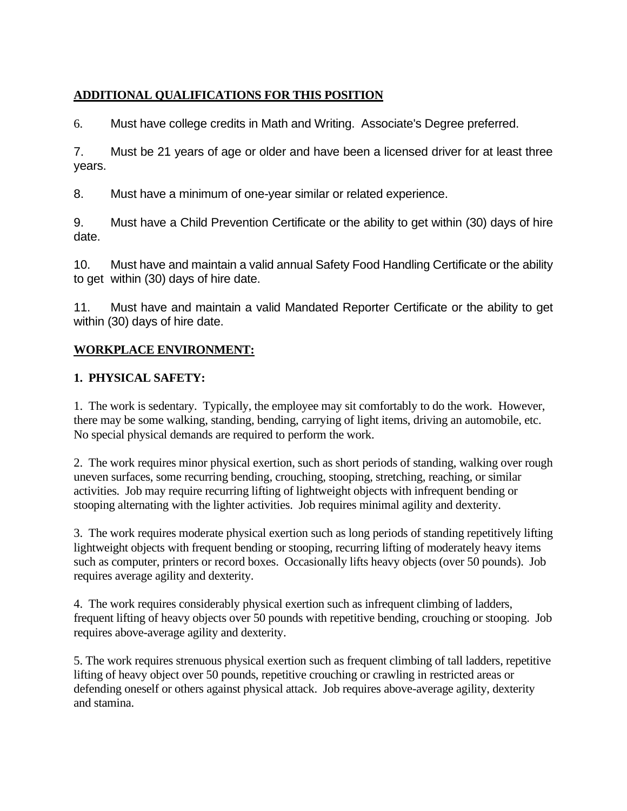## **ADDITIONAL QUALIFICATIONS FOR THIS POSITION**

6. Must have college credits in Math and Writing. Associate's Degree preferred.

7. Must be 21 years of age or older and have been a licensed driver for at least three years.

8. Must have a minimum of one-year similar or related experience.

9. Must have a Child Prevention Certificate or the ability to get within (30) days of hire date.

10. Must have and maintain a valid annual Safety Food Handling Certificate or the ability to get within (30) days of hire date.

11. Must have and maintain a valid Mandated Reporter Certificate or the ability to get within (30) days of hire date.

# **WORKPLACE ENVIRONMENT:**

# **1. PHYSICAL SAFETY:**

1. The work is sedentary. Typically, the employee may sit comfortably to do the work. However, there may be some walking, standing, bending, carrying of light items, driving an automobile, etc. No special physical demands are required to perform the work.

2. The work requires minor physical exertion, such as short periods of standing, walking over rough uneven surfaces, some recurring bending, crouching, stooping, stretching, reaching, or similar activities. Job may require recurring lifting of lightweight objects with infrequent bending or stooping alternating with the lighter activities. Job requires minimal agility and dexterity.

3. The work requires moderate physical exertion such as long periods of standing repetitively lifting lightweight objects with frequent bending or stooping, recurring lifting of moderately heavy items such as computer, printers or record boxes. Occasionally lifts heavy objects (over 50 pounds). Job requires average agility and dexterity.

4. The work requires considerably physical exertion such as infrequent climbing of ladders, frequent lifting of heavy objects over 50 pounds with repetitive bending, crouching or stooping. Job requires above-average agility and dexterity.

5. The work requires strenuous physical exertion such as frequent climbing of tall ladders, repetitive lifting of heavy object over 50 pounds, repetitive crouching or crawling in restricted areas or defending oneself or others against physical attack. Job requires above-average agility, dexterity and stamina.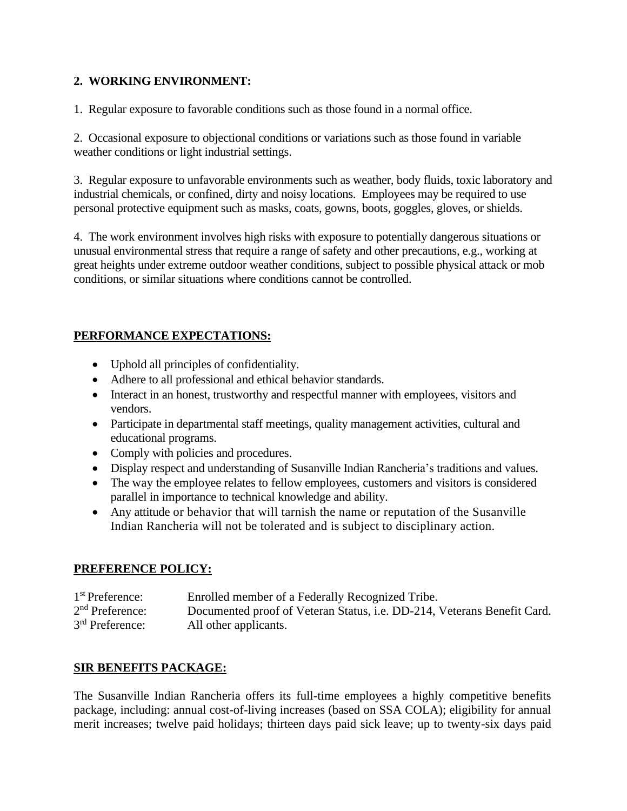### **2. WORKING ENVIRONMENT:**

1. Regular exposure to favorable conditions such as those found in a normal office.

2. Occasional exposure to objectional conditions or variations such as those found in variable weather conditions or light industrial settings.

3. Regular exposure to unfavorable environments such as weather, body fluids, toxic laboratory and industrial chemicals, or confined, dirty and noisy locations. Employees may be required to use personal protective equipment such as masks, coats, gowns, boots, goggles, gloves, or shields.

4. The work environment involves high risks with exposure to potentially dangerous situations or unusual environmental stress that require a range of safety and other precautions, e.g., working at great heights under extreme outdoor weather conditions, subject to possible physical attack or mob conditions, or similar situations where conditions cannot be controlled.

## **PERFORMANCE EXPECTATIONS:**

- Uphold all principles of confidentiality.
- Adhere to all professional and ethical behavior standards.
- Interact in an honest, trustworthy and respectful manner with employees, visitors and vendors.
- Participate in departmental staff meetings, quality management activities, cultural and educational programs.
- Comply with policies and procedures.
- Display respect and understanding of Susanville Indian Rancheria's traditions and values.
- The way the employee relates to fellow employees, customers and visitors is considered parallel in importance to technical knowledge and ability.
- Any attitude or behavior that will tarnish the name or reputation of the Susanville Indian Rancheria will not be tolerated and is subject to disciplinary action.

### **PREFERENCE POLICY:**

| $1st$ Preference:           | Enrolled member of a Federally Recognized Tribe.                        |
|-----------------------------|-------------------------------------------------------------------------|
| $2nd$ Preference:           | Documented proof of Veteran Status, i.e. DD-214, Veterans Benefit Card. |
| 3 <sup>rd</sup> Preference: | All other applicants.                                                   |

### **SIR BENEFITS PACKAGE:**

The Susanville Indian Rancheria offers its full-time employees a highly competitive benefits package, including: annual cost-of-living increases (based on SSA COLA); eligibility for annual merit increases; twelve paid holidays; thirteen days paid sick leave; up to twenty-six days paid